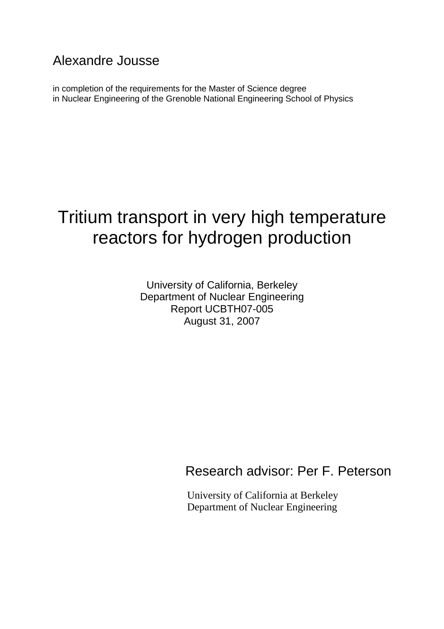# Alexandre Jousse

in completion of the requirements for the Master of Science degree in Nuclear Engineering of the Grenoble National Engineering School of Physics

# Tritium transport in very high temperature reactors for hydrogen production

University of California, Berkeley Department of Nuclear Engineering Report UCBTH07-005 August 31, 2007

# Research advisor: Per F. Peterson

University of California at Berkeley Department of Nuclear Engineering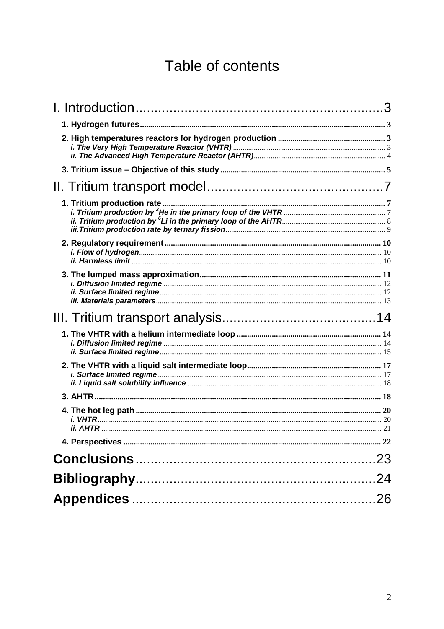# Table of contents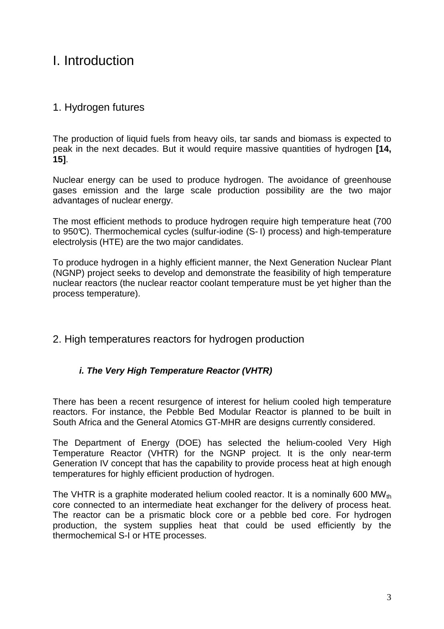# I. Introduction

# 1. Hydrogen futures

The production of liquid fuels from heavy oils, tar sands and biomass is expected to peak in the next decades. But it would require massive quantities of hydrogen **[14, 15]**.

Nuclear energy can be used to produce hydrogen. The avoidance of greenhouse gases emission and the large scale production possibility are the two major advantages of nuclear energy.

The most efficient methods to produce hydrogen require high temperature heat (700 to 950°C). Thermochemical cycles (sulfur-iodine (S- I) process) and high-temperature electrolysis (HTE) are the two major candidates.

To produce hydrogen in a highly efficient manner, the Next Generation Nuclear Plant (NGNP) project seeks to develop and demonstrate the feasibility of high temperature nuclear reactors (the nuclear reactor coolant temperature must be yet higher than the process temperature).

### 2. High temperatures reactors for hydrogen production

### **i. The Very High Temperature Reactor (VHTR)**

There has been a recent resurgence of interest for helium cooled high temperature reactors. For instance, the Pebble Bed Modular Reactor is planned to be built in South Africa and the General Atomics GT-MHR are designs currently considered.

The Department of Energy (DOE) has selected the helium-cooled Very High Temperature Reactor (VHTR) for the NGNP project. It is the only near-term Generation IV concept that has the capability to provide process heat at high enough temperatures for highly efficient production of hydrogen.

The VHTR is a graphite moderated helium cooled reactor. It is a nominally 600 MW $_{\text{th}}$ core connected to an intermediate heat exchanger for the delivery of process heat. The reactor can be a prismatic block core or a pebble bed core. For hydrogen production, the system supplies heat that could be used efficiently by the thermochemical S-I or HTE processes.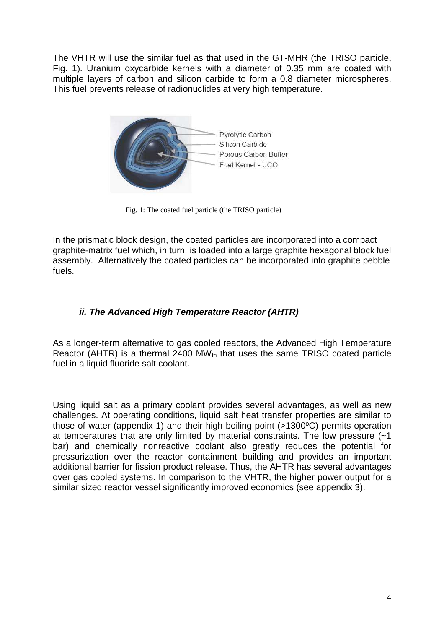The VHTR will use the similar fuel as that used in the GT-MHR (the TRISO particle; Fig. 1). Uranium oxycarbide kernels with a diameter of 0.35 mm are coated with multiple layers of carbon and silicon carbide to form a 0.8 diameter microspheres. This fuel prevents release of radionuclides at very high temperature.



Fig. 1: The coated fuel particle (the TRISO particle)

In the prismatic block design, the coated particles are incorporated into a compact graphite-matrix fuel which, in turn, is loaded into a large graphite hexagonal block fuel assembly. Alternatively the coated particles can be incorporated into graphite pebble fuels.

### **ii. The Advanced High Temperature Reactor (AHTR)**

As a longer-term alternative to gas cooled reactors, the Advanced High Temperature Reactor (AHTR) is a thermal 2400 MW $_{\text{th}}$  that uses the same TRISO coated particle fuel in a liquid fluoride salt coolant.

Using liquid salt as a primary coolant provides several advantages, as well as new challenges. At operating conditions, liquid salt heat transfer properties are similar to those of water (appendix 1) and their high boiling point (>1300ºC) permits operation at temperatures that are only limited by material constraints. The low pressure (~1 bar) and chemically nonreactive coolant also greatly reduces the potential for pressurization over the reactor containment building and provides an important additional barrier for fission product release. Thus, the AHTR has several advantages over gas cooled systems. In comparison to the VHTR, the higher power output for a similar sized reactor vessel significantly improved economics (see appendix 3).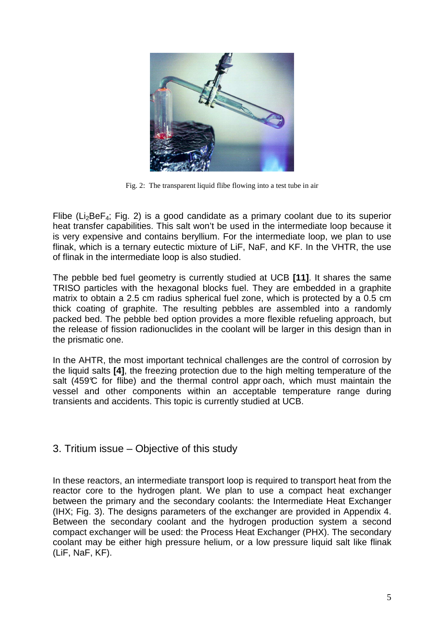

Fig. 2: The transparent liquid flibe flowing into a test tube in air

Flibe ( $Li<sub>2</sub>BeF<sub>4</sub>$ ; Fig. 2) is a good candidate as a primary coolant due to its superior heat transfer capabilities. This salt won't be used in the intermediate loop because it is very expensive and contains beryllium. For the intermediate loop, we plan to use flinak, which is a ternary eutectic mixture of LiF, NaF, and KF. In the VHTR, the use of flinak in the intermediate loop is also studied.

The pebble bed fuel geometry is currently studied at UCB **[11]**. It shares the same TRISO particles with the hexagonal blocks fuel. They are embedded in a graphite matrix to obtain a 2.5 cm radius spherical fuel zone, which is protected by a 0.5 cm thick coating of graphite. The resulting pebbles are assembled into a randomly packed bed. The pebble bed option provides a more flexible refueling approach, but the release of fission radionuclides in the coolant will be larger in this design than in the prismatic one.

In the AHTR, the most important technical challenges are the control of corrosion by the liquid salts **[4]**, the freezing protection due to the high melting temperature of the salt (459 $\mathbb C$  for flibe) and the thermal control approach, which must maintain the vessel and other components within an acceptable temperature range during transients and accidents. This topic is currently studied at UCB.

### 3. Tritium issue – Objective of this study

In these reactors, an intermediate transport loop is required to transport heat from the reactor core to the hydrogen plant. We plan to use a compact heat exchanger between the primary and the secondary coolants: the Intermediate Heat Exchanger (IHX; Fig. 3). The designs parameters of the exchanger are provided in Appendix 4. Between the secondary coolant and the hydrogen production system a second compact exchanger will be used: the Process Heat Exchanger (PHX). The secondary coolant may be either high pressure helium, or a low pressure liquid salt like flinak (LiF, NaF, KF).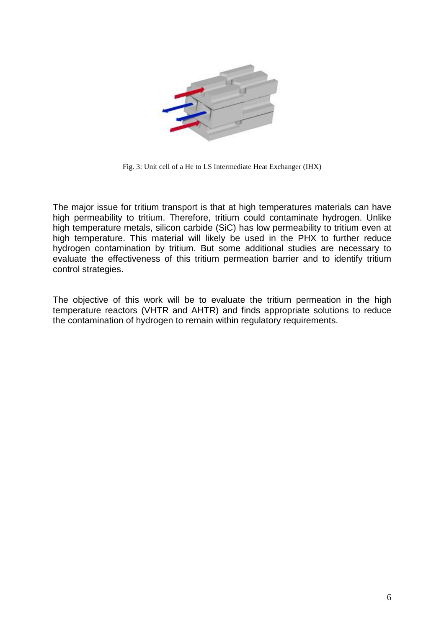

Fig. 3: Unit cell of a He to LS Intermediate Heat Exchanger (IHX)

The major issue for tritium transport is that at high temperatures materials can have high permeability to tritium. Therefore, tritium could contaminate hydrogen. Unlike high temperature metals, silicon carbide (SiC) has low permeability to tritium even at high temperature. This material will likely be used in the PHX to further reduce hydrogen contamination by tritium. But some additional studies are necessary to evaluate the effectiveness of this tritium permeation barrier and to identify tritium control strategies.

The objective of this work will be to evaluate the tritium permeation in the high temperature reactors (VHTR and AHTR) and finds appropriate solutions to reduce the contamination of hydrogen to remain within regulatory requirements.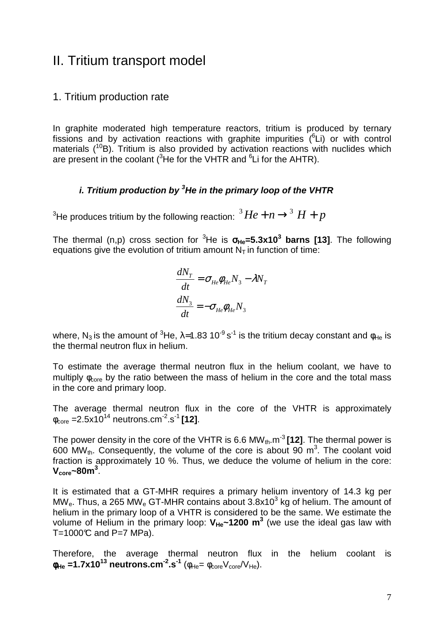# II. Tritium transport model

### 1. Tritium production rate

In graphite moderated high temperature reactors, tritium is produced by ternary fissions and by activation reactions with graphite impurities  $(^{6}Li)$  or with control materials  $(^{10}B)$ . Tritium is also provided by activation reactions with nuclides which are present in the coolant ( ${}^{3}$ He for the VHTR and  ${}^{6}$ Li for the AHTR).

### **i. Tritium production by <sup>3</sup>He in the primary loop of the VHTR**

 $^3$ He produces tritium by the following reaction:  $\mathbf{^3}He + n \rightarrow ^3 H + p$ 

The thermal (n,p) cross section for <sup>3</sup>He is σ**He=5.3x10<sup>3</sup> barns [13]**. The following equations give the evolution of tritium amount  $N<sub>T</sub>$  in function of time:

$$
\frac{dN_T}{dt} = \sigma_{He}\phi_{He}N_3 - \lambda N_T
$$

$$
\frac{dN_3}{dt} = -\sigma_{He}\phi_{He}N_3
$$

where, N<sub>3</sub> is the amount of <sup>3</sup>He, λ=1.83 10<sup>-9</sup> s<sup>-1</sup> is the tritium decay constant and φ<sub>He</sub> is the thermal neutron flux in helium.

To estimate the average thermal neutron flux in the helium coolant, we have to multiply  $\phi_{\text{core}}$  by the ratio between the mass of helium in the core and the total mass in the core and primary loop.

The average thermal neutron flux in the core of the VHTR is approximately  $\phi_{\text{core}} = 2.5 \times 10^{14}$  neutrons.cm<sup>-2</sup>.s<sup>-1</sup> [12].

The power density in the core of the VHTR is 6.6 MW<sub>th</sub> m<sup>-3</sup> **[12]**. The thermal power is 600 MW<sub>th</sub>. Consequently, the volume of the core is about 90 m<sup>3</sup>. The coolant void fraction is approximately 10 %. Thus, we deduce the volume of helium in the core: **Vcore~80m<sup>3</sup>** .

It is estimated that a GT-MHR requires a primary helium inventory of 14.3 kg per MW<sub>e</sub>. Thus, a 265 MW<sub>e</sub> GT-MHR contains about  $3.8x10^3$  kg of helium. The amount of helium in the primary loop of a VHTR is considered to be the same. We estimate the volume of Helium in the primary loop:  $V_{He}$ ~1200 m<sup>3</sup> (we use the ideal gas law with T=1000 $C$  and P=7 MPa).

Therefore, the average thermal neutron flux in the helium coolant is  $\phi_{\text{He}} = 1.7 \times 10^{13} \text{ neutrons. cm}^{-2} \cdot \text{s}^{-1}$  ( $\phi_{\text{He}} = \phi_{\text{core}} V_{\text{core}} / V_{\text{He}}$ ).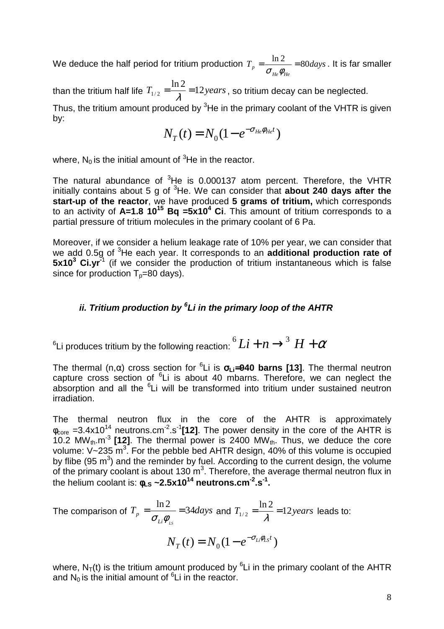We deduce the half period for tritium production  $T_p = \frac{mZ}{d} = 80 \text{ days}$ *He He*  $\frac{\ln 2}{\ln 2} = 80$  $\sigma_{_{He}}\phi_{_{i}}$ . It is far smaller

than the tritium half life  $T_{1/2} = \frac{mZ}{\lambda} = 12 \text{ years}$ ln 2  $\sum_{1/2} = \frac{m}{\lambda} = 12 years$ , so tritium decay can be neglected.

Thus, the tritium amount produced by <sup>3</sup>He in the primary coolant of the VHTR is given by:

$$
N_T(t) = N_0 (1 - e^{-\sigma_{He}\phi_{He}t})
$$

where,  $N_0$  is the initial amount of <sup>3</sup>He in the reactor.

The natural abundance of  ${}^{3}$ He is 0.000137 atom percent. Therefore, the VHTR initially contains about 5 g of <sup>3</sup>He. We can consider that **about 240 days after the start-up of the reactor**, we have produced **5 grams of tritium,** which corresponds to an activity of **A=1.8 10<sup>15</sup> Bq =5x10<sup>4</sup> Ci**. This amount of tritium corresponds to a partial pressure of tritium molecules in the primary coolant of 6 Pa.

Moreover, if we consider a helium leakage rate of 10% per year, we can consider that we add 0.5g of <sup>3</sup>He each year. It corresponds to an **additional production rate of 5x10<sup>3</sup>** Ci.yr<sup>-1</sup> (if we consider the production of tritium instantaneous which is false since for production  $T_p=80$  days).

## **ii. Tritium production by <sup>6</sup> Li in the primary loop of the AHTR**

 $^6$ Li produces tritium by the following reaction:  $^6Li+n \rightarrow ^3 H+\alpha$ 

The thermal (n,α) cross section for <sup>6</sup> Li is σ**Li**=**940 barns [13]**. The thermal neutron capture cross section of  ${}^{6}$ Li is about 40 mbarns. Therefore, we can neglect the absorption and all the <sup>6</sup>Li will be transformed into tritium under sustained neutron irradiation.

The thermal neutron flux in the core of the AHTR is approximately  $\phi_{\text{core}} = 3.4 \times 10^{14}$  neutrons.cm<sup>-2</sup>.s<sup>-1</sup>[12]. The power density in the core of the AHTR is 10.2 MW<sub>th</sub>.m<sup>-3</sup> [12]. The thermal power is 2400 MW<sub>th</sub>. Thus, we deduce the core volume:  $V \sim 235 \text{ m}^3$ . For the pebble bed AHTR design, 40% of this volume is occupied by flibe (95  $m<sup>3</sup>$ ) and the reminder by fuel. According to the current design, the volume of the primary coolant is about 130  $m^3$ . Therefore, the average thermal neutron flux in the helium coolant is: φ**LS ~2.5x10<sup>14</sup> neutrons.cm-2.s-1 .**

The comparison of  $T_p = \frac{mZ}{d} = 34 days$  $Li^{\boldsymbol{\varphi}}{}_{\scriptscriptstyle LS}$  $\frac{\ln 2}{p} = \frac{1 \ln 2}{2} = 34$  $\sigma_{\scriptscriptstyle{Li}}\phi$ and  $T_{1/2} = \frac{mZ}{a} = 12 years$ ln 2  $\sum_{1/2}$  =  $\frac{12}{\lambda}$  = 12 years leads to:

$$
N_T(t) = N_0 (1 - e^{-\sigma_{Li}\phi_{LS}t})
$$

where,  $N_T(t)$  is the tritium amount produced by  ${}^{6}$ Li in the primary coolant of the AHTR and  $N_0$  is the initial amount of  ${}^6L$  in the reactor.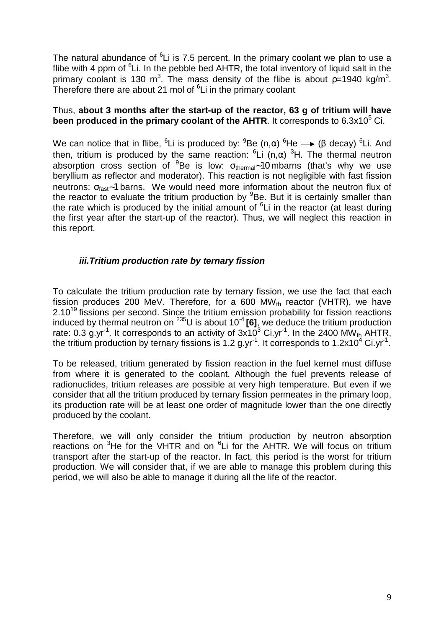The natural abundance of <sup>6</sup>Li is 7.5 percent. In the primary coolant we plan to use a flibe with 4 ppm of  ${}^{6}$ Li. In the pebble bed AHTR, the total inventory of liquid salt in the primary coolant is 130 m<sup>3</sup>. The mass density of the flibe is about  $p=1940$  kg/m<sup>3</sup>. Therefore there are about 21 mol of <sup>6</sup>Li in the primary coolant

### Thus, **about 3 months after the start-up of the reactor, 63 g of tritium will have**  been produced in the primary coolant of the AHTR. It corresponds to  $6.3x10<sup>5</sup>$  Ci.

We can notice that in flibe, <sup>6</sup>Li is produced by: <sup>9</sup>Be (n,α) <sup>6</sup>He  $\longrightarrow$  (β decay) <sup>6</sup>Li. And then, tritium is produced by the same reaction:  ${}^{6}$ Li (n,α)  ${}^{3}$ H. The thermal neutron absorption cross section of <sup>9</sup>Be is low:  $\sigma_{\text{thermal}}$ ~10 mbarns (that's why we use beryllium as reflector and moderator). This reaction is not negligible with fast fission neutrons: σ<sub>fast</sub>∼1 barns. We would need more information about the neutron flux of the reactor to evaluate the tritium production by <sup>9</sup>Be. But it is certainly smaller than the rate which is produced by the initial amount of  ${}^{6}$ Li in the reactor (at least during the first year after the start-up of the reactor). Thus, we will neglect this reaction in this report.

### **iii.Tritium production rate by ternary fission**

To calculate the tritium production rate by ternary fission, we use the fact that each fission produces 200 MeV. Therefore, for a 600 MW $_{th}$  reactor (VHTR), we have  $2.10^{19}$  fissions per second. Since the tritium emission probability for fission reactions induced by thermal neutron on  $^{235}$ U is about 10<sup>-4</sup> [6], we deduce the tritium production rate: 0.3 g.yr<sup>-1</sup>. It corresponds to an activity of  $3x10^3$  Ci.yr<sup>-1</sup>. In the 2400 MW<sub>th</sub> AHTR, the tritium production by ternary fissions is 1.2 g.yr<sup>-1</sup>. It corresponds to 1.2x10<sup>4</sup> Ci.yr<sup>-1</sup>.

To be released, tritium generated by fission reaction in the fuel kernel must diffuse from where it is generated to the coolant. Although the fuel prevents release of radionuclides, tritium releases are possible at very high temperature. But even if we consider that all the tritium produced by ternary fission permeates in the primary loop, its production rate will be at least one order of magnitude lower than the one directly produced by the coolant.

Therefore, we will only consider the tritium production by neutron absorption reactions on  $3$ He for the VHTR and on  $6$ Li for the AHTR. We will focus on tritium transport after the start-up of the reactor. In fact, this period is the worst for tritium production. We will consider that, if we are able to manage this problem during this period, we will also be able to manage it during all the life of the reactor.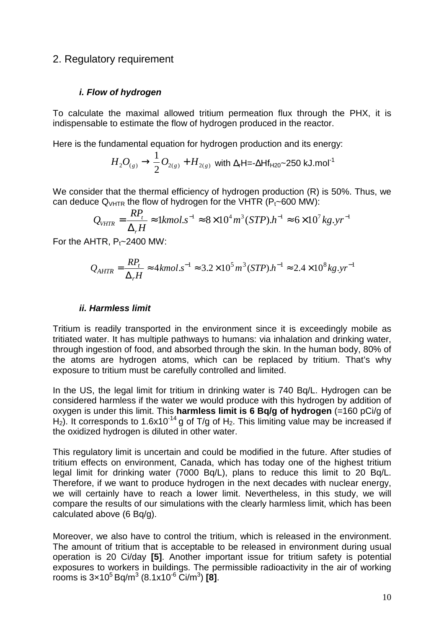## 2. Regulatory requirement

### **i. Flow of hydrogen**

To calculate the maximal allowed tritium permeation flux through the PHX, it is indispensable to estimate the flow of hydrogen produced in the reactor.

Here is the fundamental equation for hydrogen production and its energy:

$$
H_2O_{(g)} \rightarrow \frac{1}{2}O_{2(g)} + H_{2(g)}
$$
 with  $\Delta_r$ H=- $\Delta$ Hf<sub>H20</sub>~250 kJ.mol<sup>-1</sup>

We consider that the thermal efficiency of hydrogen production (R) is 50%. Thus, we can deduce  $Q<sub>VHTR</sub>$  the flow of hydrogen for the VHTR ( $P<sub>t</sub>$ ~600 MW):

$$
Q_{VHTR} = \frac{RP_t}{\Delta_r H} \approx 1 \, \text{kmol.s}^{-1} \approx 8 \times 10^4 \, \text{m}^3 \, (\text{STP}).\, h^{-1} \approx 6 \times 10^7 \, \text{kg.yr}^{-1}
$$

For the AHTR,  $P_t \sim 2400$  MW:

$$
Q_{AHTR} = \frac{RP_t}{\Delta_r H} \approx 4 \, kmol.s^{-1} \approx 3.2 \times 10^5 \, m^3 \, (STP).h^{-1} \approx 2.4 \times 10^8 \, kg.s^{-1}
$$

#### **ii. Harmless limit**

Tritium is readily transported in the environment since it is exceedingly mobile as tritiated water. It has multiple pathways to humans: via inhalation and drinking water, through ingestion of food, and absorbed through the skin. In the human body, 80% of the atoms are hydrogen atoms, which can be replaced by tritium. That's why exposure to tritium must be carefully controlled and limited.

In the US, the legal limit for tritium in drinking water is 740 Bq/L. Hydrogen can be considered harmless if the water we would produce with this hydrogen by addition of oxygen is under this limit. This **harmless limit is 6 Bq/g of hydrogen** (=160 pCi/g of  $H_2$ ). It corresponds to 1.6x10<sup>-14</sup> g of T/g of H<sub>2</sub>. This limiting value may be increased if the oxidized hydrogen is diluted in other water.

This regulatory limit is uncertain and could be modified in the future. After studies of tritium effects on environment, Canada, which has today one of the highest tritium legal limit for drinking water (7000 Bq/L), plans to reduce this limit to 20 Bq/L. Therefore, if we want to produce hydrogen in the next decades with nuclear energy, we will certainly have to reach a lower limit. Nevertheless, in this study, we will compare the results of our simulations with the clearly harmless limit, which has been calculated above (6 Bq/g).

Moreover, we also have to control the tritium, which is released in the environment. The amount of tritium that is acceptable to be released in environment during usual operation is 20 Ci/day **[5]**. Another important issue for tritium safety is potential exposures to workers in buildings. The permissible radioactivity in the air of working rooms is 3×10<sup>5</sup>Bq/m<sup>3</sup> (8.1x10-6 Ci/m<sup>3</sup> ) **[8]**.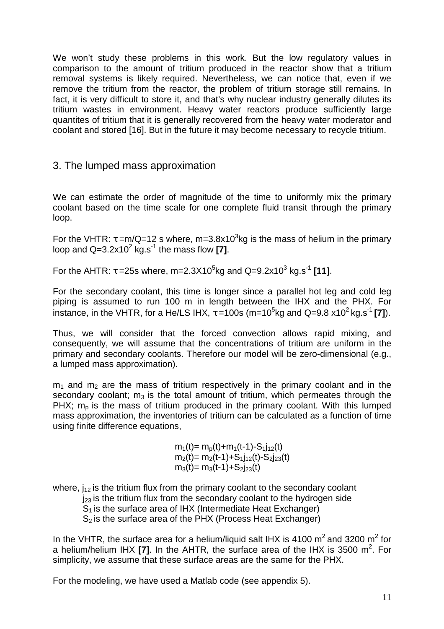We won't study these problems in this work. But the low regulatory values in comparison to the amount of tritium produced in the reactor show that a tritium removal systems is likely required. Nevertheless, we can notice that, even if we remove the tritium from the reactor, the problem of tritium storage still remains. In fact, it is very difficult to store it, and that's why nuclear industry generally dilutes its tritium wastes in environment. Heavy water reactors produce sufficiently large quantites of tritium that it is generally recovered from the heavy water moderator and coolant and stored [16]. But in the future it may become necessary to recycle tritium.

## 3. The lumped mass approximation

We can estimate the order of magnitude of the time to uniformly mix the primary coolant based on the time scale for one complete fluid transit through the primary loop.

For the VHTR:  $\tau$  =m/Q=12 s where, m=3.8x10<sup>3</sup>kg is the mass of helium in the primary loop and  $Q=3.2x10^2$  kg.s<sup>-1</sup> the mass flow [7].

For the AHTR:  $τ = 25s$  where, m=2.3X10<sup>5</sup>kg and Q=9.2x10<sup>3</sup> kg.s<sup>-1</sup> [11].

For the secondary coolant, this time is longer since a parallel hot leg and cold leg piping is assumed to run 100 m in length between the IHX and the PHX. For instance, in the VHTR, for a He/LS IHX,  $\tau$  =100s (m=10<sup>5</sup>kg and Q=9.8 x10<sup>2</sup> kg.s<sup>-1</sup> [7]).

Thus, we will consider that the forced convection allows rapid mixing, and consequently, we will assume that the concentrations of tritium are uniform in the primary and secondary coolants. Therefore our model will be zero-dimensional (e.g., a lumped mass approximation).

 $m_1$  and  $m_2$  are the mass of tritium respectively in the primary coolant and in the secondary coolant;  $m_3$  is the total amount of tritium, which permeates through the PHX;  $m_p$  is the mass of tritium produced in the primary coolant. With this lumped mass approximation, the inventories of tritium can be calculated as a function of time using finite difference equations,

> $m_1(t) = m_p(t) + m_1(t-1) - S_1j_{12}(t)$  $m_2(t) = m_2(t-1) + S_1i_{12}(t) - S_2i_{23}(t)$  $m_3(t) = m_3(t-1) + S_{2123}(t)$

where,  $j_{12}$  is the tritium flux from the primary coolant to the secondary coolant  $j_{23}$  is the tritium flux from the secondary coolant to the hydrogen side  $S_1$  is the surface area of IHX (Intermediate Heat Exchanger)  $S<sub>2</sub>$  is the surface area of the PHX (Process Heat Exchanger)

In the VHTR, the surface area for a helium/liquid salt IHX is 4100  $m^2$  and 3200  $m^2$  for a helium/helium IHX **[7]**. In the AHTR, the surface area of the IHX is 3500 m 2 . For simplicity, we assume that these surface areas are the same for the PHX.

For the modeling, we have used a Matlab code (see appendix 5).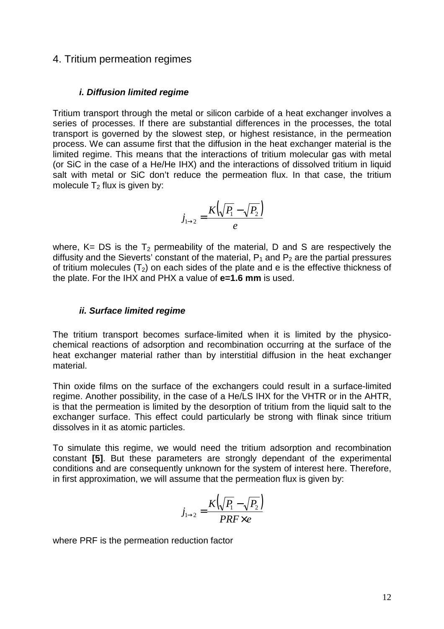### 4. Tritium permeation regimes

#### **i. Diffusion limited regime**

Tritium transport through the metal or silicon carbide of a heat exchanger involves a series of processes. If there are substantial differences in the processes, the total transport is governed by the slowest step, or highest resistance, in the permeation process. We can assume first that the diffusion in the heat exchanger material is the limited regime. This means that the interactions of tritium molecular gas with metal (or SiC in the case of a He/He IHX) and the interactions of dissolved tritium in liquid salt with metal or SiC don't reduce the permeation flux. In that case, the tritium molecule  $T_2$  flux is given by:

$$
j_{1\rightarrow 2} = \frac{K(\sqrt{P_1} - \sqrt{P_2})}{e}
$$

where,  $K = DS$  is the  $T_2$  permeability of the material, D and S are respectively the diffusity and the Sieverts' constant of the material,  $P_1$  and  $P_2$  are the partial pressures of tritium molecules  $(T_2)$  on each sides of the plate and e is the effective thickness of the plate. For the IHX and PHX a value of **e=1.6 mm** is used.

### **ii. Surface limited regime**

The tritium transport becomes surface-limited when it is limited by the physicochemical reactions of adsorption and recombination occurring at the surface of the heat exchanger material rather than by interstitial diffusion in the heat exchanger material.

Thin oxide films on the surface of the exchangers could result in a surface-limited regime. Another possibility, in the case of a He/LS IHX for the VHTR or in the AHTR, is that the permeation is limited by the desorption of tritium from the liquid salt to the exchanger surface. This effect could particularly be strong with flinak since tritium dissolves in it as atomic particles.

To simulate this regime, we would need the tritium adsorption and recombination constant **[5]**. But these parameters are strongly dependant of the experimental conditions and are consequently unknown for the system of interest here. Therefore, in first approximation, we will assume that the permeation flux is given by:

$$
j_{1\rightarrow 2} = \frac{K\left(\sqrt{P_1} - \sqrt{P_2}\right)}{PRF \times e}
$$

where PRF is the permeation reduction factor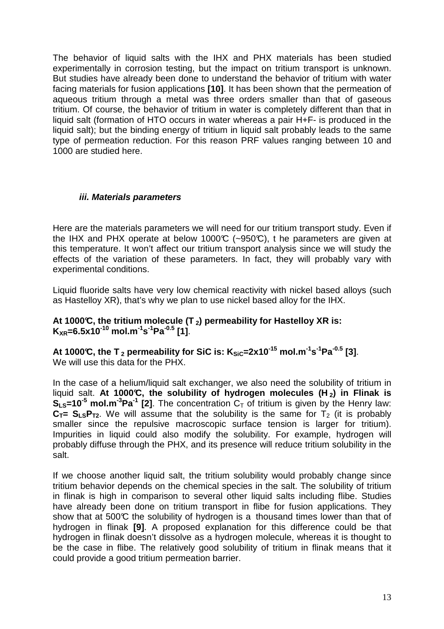The behavior of liquid salts with the IHX and PHX materials has been studied experimentally in corrosion testing, but the impact on tritium transport is unknown. But studies have already been done to understand the behavior of tritium with water facing materials for fusion applications **[10]**. It has been shown that the permeation of aqueous tritium through a metal was three orders smaller than that of gaseous tritium. Of course, the behavior of tritium in water is completely different than that in liquid salt (formation of HTO occurs in water whereas a pair H+F- is produced in the liquid salt); but the binding energy of tritium in liquid salt probably leads to the same type of permeation reduction. For this reason PRF values ranging between 10 and 1000 are studied here.

### **iii. Materials parameters**

Here are the materials parameters we will need for our tritium transport study. Even if the IHX and PHX operate at below 1000°C (~950°C), t he parameters are given at this temperature. It won't affect our tritium transport analysis since we will study the effects of the variation of these parameters. In fact, they will probably vary with experimental conditions.

Liquid fluoride salts have very low chemical reactivity with nickel based alloys (such as Hastelloy XR), that's why we plan to use nickel based alloy for the IHX.

### **At 1000°C, the tritium molecule (T <sup>2</sup>) permeability for Hastelloy XR is: K**<sub>XR</sub>=6.5x10<sup>-10</sup> mol.m<sup>-1</sup>s<sup>-1</sup>Pa<sup>-0.5</sup> [1].

**At 1000°C, the T <sup>2</sup> permeability for SiC is: KSiC=2x10-15 mol.m-1s -1Pa-0.5 [3]**. We will use this data for the PHX.

In the case of a helium/liquid salt exchanger, we also need the solubility of tritium in liquid salt. **At 1000°C, the solubility of hydrogen molecules (H <sup>2</sup>) in Flinak is**   $S_{Ls}$ =10<sup>-5</sup> mol.m<sup>-3</sup>Pa<sup>-1</sup> [2]. The concentration  $C_T$  of tritium is given by the Henry law:  $C_T = S_{LS}P_{T2}$ . We will assume that the solubility is the same for  $T_2$  (it is probably smaller since the repulsive macroscopic surface tension is larger for tritium). Impurities in liquid could also modify the solubility. For example, hydrogen will probably diffuse through the PHX, and its presence will reduce tritium solubility in the salt.

If we choose another liquid salt, the tritium solubility would probably change since tritium behavior depends on the chemical species in the salt. The solubility of tritium in flinak is high in comparison to several other liquid salts including flibe. Studies have already been done on tritium transport in flibe for fusion applications. They show that at 500°C the solubility of hydrogen is a thousand times lower than that of hydrogen in flinak **[9]**. A proposed explanation for this difference could be that hydrogen in flinak doesn't dissolve as a hydrogen molecule, whereas it is thought to be the case in flibe. The relatively good solubility of tritium in flinak means that it could provide a good tritium permeation barrier.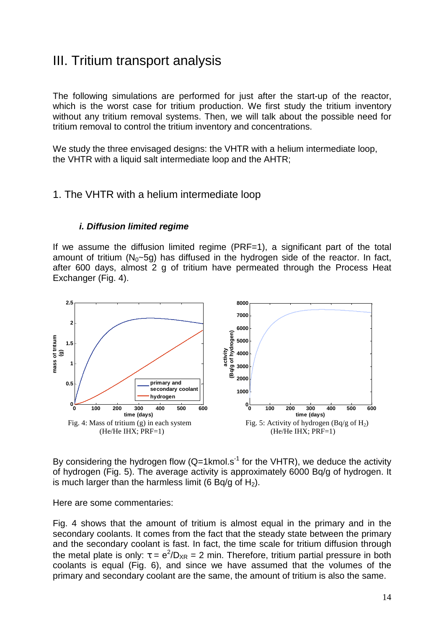# III. Tritium transport analysis

The following simulations are performed for just after the start-up of the reactor, which is the worst case for tritium production. We first study the tritium inventory without any tritium removal systems. Then, we will talk about the possible need for tritium removal to control the tritium inventory and concentrations.

We study the three envisaged designs: the VHTR with a helium intermediate loop, the VHTR with a liquid salt intermediate loop and the AHTR;

### 1. The VHTR with a helium intermediate loop

### **i. Diffusion limited regime**

If we assume the diffusion limited regime (PRF=1), a significant part of the total amount of tritium  $(N_0 \sim 5q)$  has diffused in the hydrogen side of the reactor. In fact, after 600 days, almost 2 g of tritium have permeated through the Process Heat Exchanger (Fig. 4).



By considering the hydrogen flow  $(Q=1 \text{ kmol.s}^{-1}$  for the VHTR), we deduce the activity of hydrogen (Fig. 5). The average activity is approximately 6000 Bq/g of hydrogen. It is much larger than the harmless limit (6 Bq/g of H<sub>2</sub>).

Here are some commentaries:

Fig. 4 shows that the amount of tritium is almost equal in the primary and in the secondary coolants. It comes from the fact that the steady state between the primary and the secondary coolant is fast. In fact, the time scale for tritium diffusion through the metal plate is only:  $\tau = e^2/D_{XR} = 2$  min. Therefore, tritium partial pressure in both coolants is equal (Fig. 6), and since we have assumed that the volumes of the primary and secondary coolant are the same, the amount of tritium is also the same.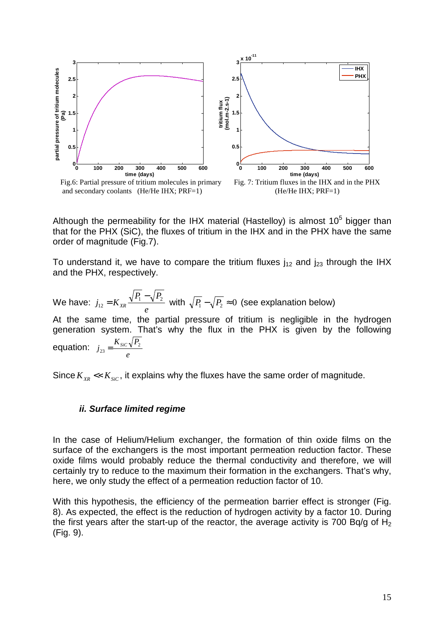

Although the permeability for the IHX material (Hastelloy) is almost  $10^5$  bigger than that for the PHX (SiC), the fluxes of tritium in the IHX and in the PHX have the same order of magnitude (Fig.7).

To understand it, we have to compare the tritium fluxes  $j_{12}$  and  $j_{23}$  through the IHX and the PHX, respectively.

We have: *e*  $P_1 - \sqrt{P_2}$  $j_{12} = K_{XR} \frac{\sqrt{11} \sqrt{12}}{1}$ 12 −  $= K_{xx} \frac{\sqrt{P_1 - P_2}}{2}$  with  $\sqrt{P_1 - P_2} \approx 0$  (see explanation below) At the same time, the partial pressure of tritium is negligible in the hydrogen generation system. That's why the flux in the PHX is given by the following equation: *e*  $K_{SiC}$   $\sqrt{P_2}$  $j_{23} = \frac{N_{SiC} V I_2}{I}$ 

Since  $K_{\text{XR}} \ll K_{\text{Sic}}$ , it explains why the fluxes have the same order of magnitude.

#### **ii. Surface limited regime**

In the case of Helium/Helium exchanger, the formation of thin oxide films on the surface of the exchangers is the most important permeation reduction factor. These oxide films would probably reduce the thermal conductivity and therefore, we will certainly try to reduce to the maximum their formation in the exchangers. That's why, here, we only study the effect of a permeation reduction factor of 10.

With this hypothesis, the efficiency of the permeation barrier effect is stronger (Fig. 8). As expected, the effect is the reduction of hydrogen activity by a factor 10. During the first years after the start-up of the reactor, the average activity is 700 Bq/g of  $H_2$ (Fig. 9).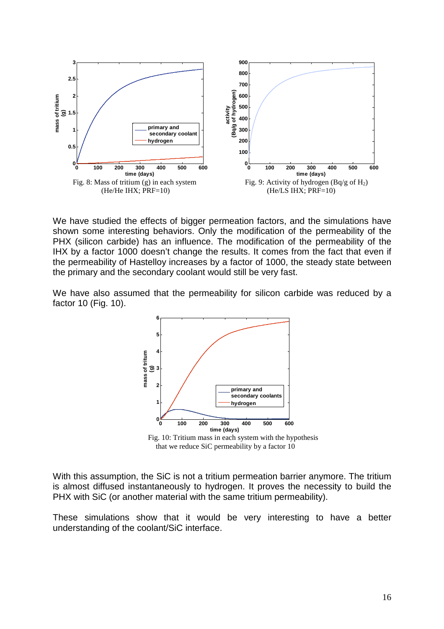

We have studied the effects of bigger permeation factors, and the simulations have shown some interesting behaviors. Only the modification of the permeability of the PHX (silicon carbide) has an influence. The modification of the permeability of the IHX by a factor 1000 doesn't change the results. It comes from the fact that even if the permeability of Hastelloy increases by a factor of 1000, the steady state between the primary and the secondary coolant would still be very fast.

We have also assumed that the permeability for silicon carbide was reduced by a factor 10 (Fig. 10).

![](_page_15_Figure_3.jpeg)

 Fig. 10: Tritium mass in each system with the hypothesis that we reduce SiC permeability by a factor 10

With this assumption, the SiC is not a tritium permeation barrier anymore. The tritium is almost diffused instantaneously to hydrogen. It proves the necessity to build the PHX with SiC (or another material with the same tritium permeability).

These simulations show that it would be very interesting to have a better understanding of the coolant/SiC interface.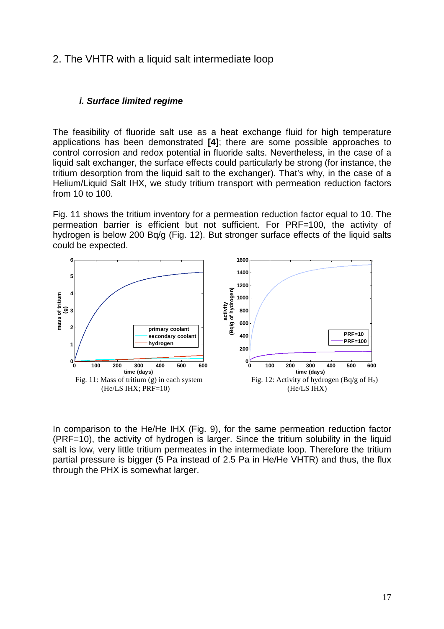### 2. The VHTR with a liquid salt intermediate loop

#### **i. Surface limited regime**

The feasibility of fluoride salt use as a heat exchange fluid for high temperature applications has been demonstrated **[4]**; there are some possible approaches to control corrosion and redox potential in fluoride salts. Nevertheless, in the case of a liquid salt exchanger, the surface effects could particularly be strong (for instance, the tritium desorption from the liquid salt to the exchanger). That's why, in the case of a Helium/Liquid Salt IHX, we study tritium transport with permeation reduction factors from 10 to 100.

Fig. 11 shows the tritium inventory for a permeation reduction factor equal to 10. The permeation barrier is efficient but not sufficient. For PRF=100, the activity of hydrogen is below 200 Bq/g (Fig. 12). But stronger surface effects of the liquid salts could be expected.

![](_page_16_Figure_4.jpeg)

In comparison to the He/He IHX (Fig. 9), for the same permeation reduction factor (PRF=10), the activity of hydrogen is larger. Since the tritium solubility in the liquid salt is low, very little tritium permeates in the intermediate loop. Therefore the tritium partial pressure is bigger (5 Pa instead of 2.5 Pa in He/He VHTR) and thus, the flux through the PHX is somewhat larger.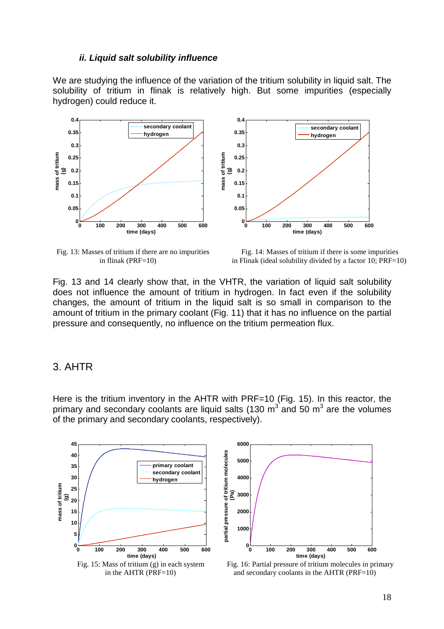#### **ii. Liquid salt solubility influence**

We are studying the influence of the variation of the tritium solubility in liquid salt. The solubility of tritium in flinak is relatively high. But some impurities (especially hydrogen) could reduce it.

![](_page_17_Figure_2.jpeg)

Fig. 13: Masses of tritium if there are no impurities Fig. 14: Masses of tritium if there is some impurities in flinak (PRF=10) in Flinak (ideal solubility divided by a factor 10: PRF=1 in Flinak (ideal solubility divided by a factor 10;  $PRF=10$ )

Fig. 13 and 14 clearly show that, in the VHTR, the variation of liquid salt solubility does not influence the amount of tritium in hydrogen. In fact even if the solubility changes, the amount of tritium in the liquid salt is so small in comparison to the amount of tritium in the primary coolant (Fig. 11) that it has no influence on the partial pressure and consequently, no influence on the tritium permeation flux.

### 3. AHTR

Here is the tritium inventory in the AHTR with PRF=10 (Fig. 15). In this reactor, the primary and secondary coolants are liquid salts (130  $m^3$  and 50  $m^3$  are the volumes of the primary and secondary coolants, respectively).

![](_page_17_Figure_8.jpeg)

![](_page_17_Figure_9.jpeg)

in the AHTR (PRF=10) and secondary coolants in the AHTR (PRF=10)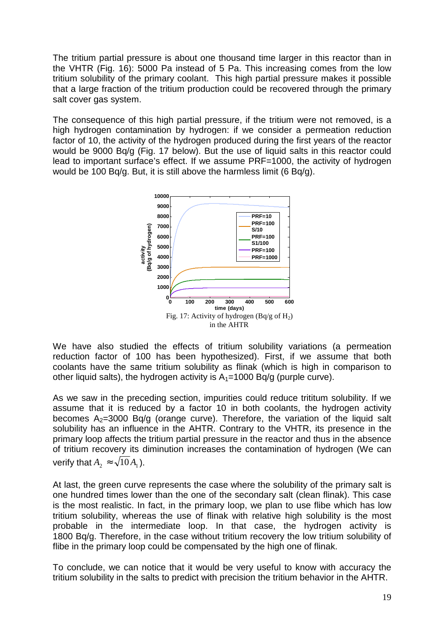The tritium partial pressure is about one thousand time larger in this reactor than in the VHTR (Fig. 16): 5000 Pa instead of 5 Pa. This increasing comes from the low tritium solubility of the primary coolant. This high partial pressure makes it possible that a large fraction of the tritium production could be recovered through the primary salt cover gas system.

The consequence of this high partial pressure, if the tritium were not removed, is a high hydrogen contamination by hydrogen: if we consider a permeation reduction factor of 10, the activity of the hydrogen produced during the first years of the reactor would be 9000 Bq/g (Fig. 17 below). But the use of liquid salts in this reactor could lead to important surface's effect. If we assume PRF=1000, the activity of hydrogen would be 100 Bq/g. But, it is still above the harmless limit (6 Bq/g).

![](_page_18_Figure_2.jpeg)

We have also studied the effects of tritium solubility variations (a permeation reduction factor of 100 has been hypothesized). First, if we assume that both coolants have the same tritium solubility as flinak (which is high in comparison to other liquid salts), the hydrogen activity is  $A_1$ =1000 Bq/g (purple curve).

As we saw in the preceding section, impurities could reduce trititum solubility. If we assume that it is reduced by a factor 10 in both coolants, the hydrogen activity becomes  $A_2=3000$  Bq/g (orange curve). Therefore, the variation of the liquid salt solubility has an influence in the AHTR. Contrary to the VHTR, its presence in the primary loop affects the tritium partial pressure in the reactor and thus in the absence of tritium recovery its diminution increases the contamination of hydrogen (We can verify that  $A_2 \approx \sqrt{10} A_1$ ).

At last, the green curve represents the case where the solubility of the primary salt is one hundred times lower than the one of the secondary salt (clean flinak). This case is the most realistic. In fact, in the primary loop, we plan to use flibe which has low tritium solubility, whereas the use of flinak with relative high solubility is the most probable in the intermediate loop. In that case, the hydrogen activity is 1800 Bq/g. Therefore, in the case without tritium recovery the low tritium solubility of flibe in the primary loop could be compensated by the high one of flinak.

To conclude, we can notice that it would be very useful to know with accuracy the tritium solubility in the salts to predict with precision the tritium behavior in the AHTR.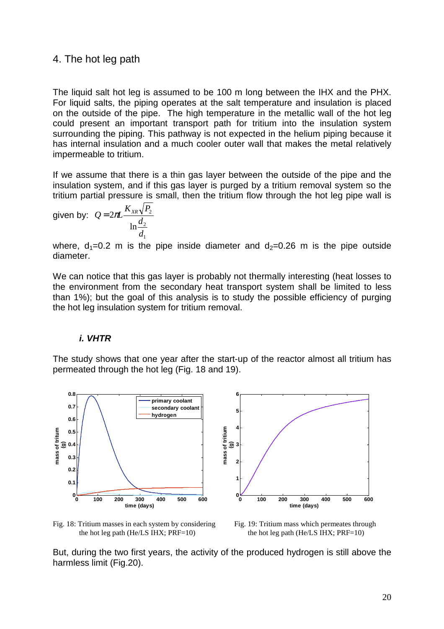### 4. The hot leg path

The liquid salt hot leg is assumed to be 100 m long between the IHX and the PHX. For liquid salts, the piping operates at the salt temperature and insulation is placed on the outside of the pipe. The high temperature in the metallic wall of the hot leg could present an important transport path for tritium into the insulation system surrounding the piping. This pathway is not expected in the helium piping because it has internal insulation and a much cooler outer wall that makes the metal relatively impermeable to tritium.

If we assume that there is a thin gas layer between the outside of the pipe and the insulation system, and if this gas layer is purged by a tritium removal system so the tritium partial pressure is small, then the tritium flow through the hot leg pipe wall is

given by: 
$$
Q = 2\pi L \frac{K_{XR}\sqrt{P_2}}{\ln \frac{d_2}{d_1}}
$$

where,  $d_1=0.2$  m is the pipe inside diameter and  $d_2=0.26$  m is the pipe outside diameter.

We can notice that this gas layer is probably not thermally interesting (heat losses to the environment from the secondary heat transport system shall be limited to less than 1%); but the goal of this analysis is to study the possible efficiency of purging the hot leg insulation system for tritium removal.

#### **i. VHTR**

The study shows that one year after the start-up of the reactor almost all tritium has permeated through the hot leg (Fig. 18 and 19).

![](_page_19_Figure_8.jpeg)

Fig. 18: Tritium masses in each system by considering Fig. 19: Tritium mass which permeates through the hot leg path (He/LS IHX;  $PRF=10$ ) the hot leg path (He/LS IHX;  $PRF=10$ )

But, during the two first years, the activity of the produced hydrogen is still above the harmless limit (Fig.20).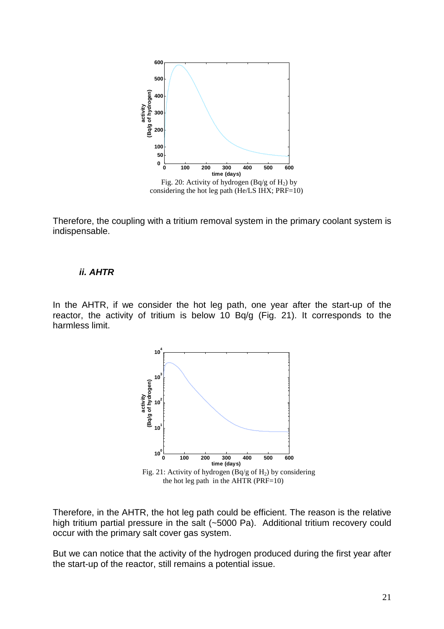![](_page_20_Figure_0.jpeg)

Therefore, the coupling with a tritium removal system in the primary coolant system is indispensable.

#### **ii. AHTR**

In the AHTR, if we consider the hot leg path, one year after the start-up of the reactor, the activity of tritium is below 10 Bq/g (Fig. 21). It corresponds to the harmless limit.

![](_page_20_Figure_4.jpeg)

the hot leg path in the  $AHTR$  ( $PRF=10$ )

Therefore, in the AHTR, the hot leg path could be efficient. The reason is the relative high tritium partial pressure in the salt (~5000 Pa). Additional tritium recovery could occur with the primary salt cover gas system.

But we can notice that the activity of the hydrogen produced during the first year after the start-up of the reactor, still remains a potential issue.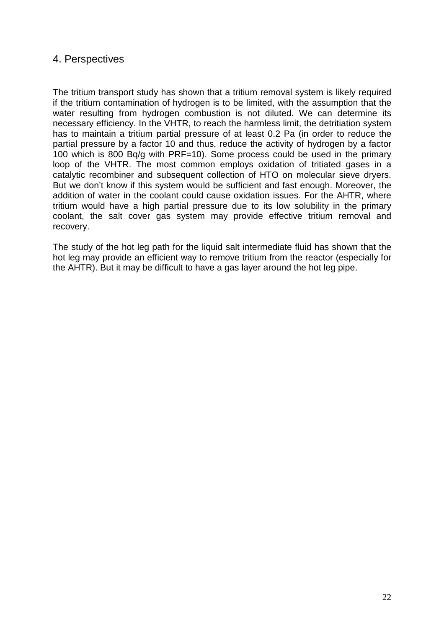# 4. Perspectives

The tritium transport study has shown that a tritium removal system is likely required if the tritium contamination of hydrogen is to be limited, with the assumption that the water resulting from hydrogen combustion is not diluted. We can determine its necessary efficiency. In the VHTR, to reach the harmless limit, the detritiation system has to maintain a tritium partial pressure of at least 0.2 Pa (in order to reduce the partial pressure by a factor 10 and thus, reduce the activity of hydrogen by a factor 100 which is 800 Bq/g with PRF=10). Some process could be used in the primary loop of the VHTR. The most common employs oxidation of tritiated gases in a catalytic recombiner and subsequent collection of HTO on molecular sieve dryers. But we don't know if this system would be sufficient and fast enough. Moreover, the addition of water in the coolant could cause oxidation issues. For the AHTR, where tritium would have a high partial pressure due to its low solubility in the primary coolant, the salt cover gas system may provide effective tritium removal and recovery.

The study of the hot leg path for the liquid salt intermediate fluid has shown that the hot leg may provide an efficient way to remove tritium from the reactor (especially for the AHTR). But it may be difficult to have a gas layer around the hot leg pipe.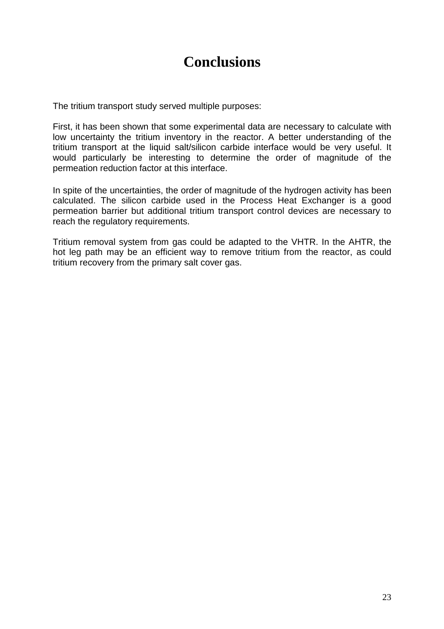# **Conclusions**

The tritium transport study served multiple purposes:

First, it has been shown that some experimental data are necessary to calculate with low uncertainty the tritium inventory in the reactor. A better understanding of the tritium transport at the liquid salt/silicon carbide interface would be very useful. It would particularly be interesting to determine the order of magnitude of the permeation reduction factor at this interface.

In spite of the uncertainties, the order of magnitude of the hydrogen activity has been calculated. The silicon carbide used in the Process Heat Exchanger is a good permeation barrier but additional tritium transport control devices are necessary to reach the regulatory requirements.

Tritium removal system from gas could be adapted to the VHTR. In the AHTR, the hot leg path may be an efficient way to remove tritium from the reactor, as could tritium recovery from the primary salt cover gas.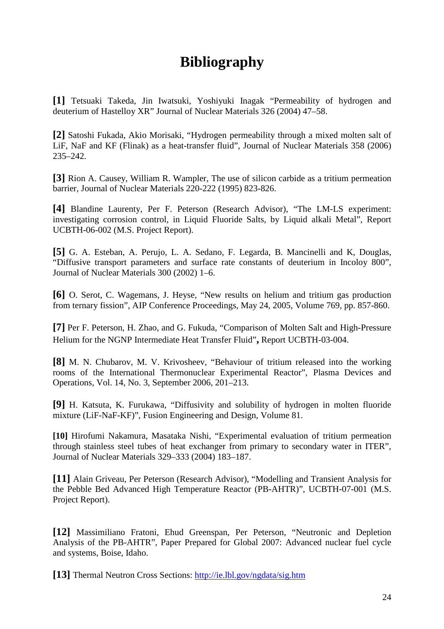# **Bibliography**

**[1]** Tetsuaki Takeda, Jin Iwatsuki, Yoshiyuki Inagak "Permeability of hydrogen and deuterium of Hastelloy XR" Journal of Nuclear Materials 326 (2004) 47–58.

**[2]** Satoshi Fukada, Akio Morisaki, "Hydrogen permeability through a mixed molten salt of LiF, NaF and KF (Flinak) as a heat-transfer fluid", Journal of Nuclear Materials 358 (2006) 235–242.

**[3]** Rion A. Causey, William R. Wampler, The use of silicon carbide as a tritium permeation barrier, Journal of Nuclear Materials 220-222 (1995) 823-826.

**[4]** Blandine Laurenty, Per F. Peterson (Research Advisor), "The LM-LS experiment: investigating corrosion control, in Liquid Fluoride Salts, by Liquid alkali Metal", Report UCBTH-06-002 (M.S. Project Report).

**[5]** G. A. Esteban, A. Perujo, L. A. Sedano, F. Legarda, B. Mancinelli and K, Douglas, "Diffusive transport parameters and surface rate constants of deuterium in Incoloy 800", Journal of Nuclear Materials 300 (2002) 1–6.

**[6]** O. Serot, C. Wagemans, J. Heyse, "New results on helium and tritium gas production from ternary fission", AIP Conference Proceedings, May 24, 2005, Volume 769, pp. 857-860.

**[7]** Per F. Peterson, H. Zhao, and G. Fukuda, "Comparison of Molten Salt and High-Pressure Helium for the NGNP Intermediate Heat Transfer Fluid"**,** Report UCBTH-03-004.

**[8]** M. N. Chubarov, M. V. Krivosheev, "Behaviour of tritium released into the working rooms of the International Thermonuclear Experimental Reactor", Plasma Devices and Operations, Vol. 14, No. 3, September 2006, 201–213.

**[9]** H. Katsuta, K. Furukawa, "Diffusivity and solubility of hydrogen in molten fluoride mixture (LiF-NaF-KF)", Fusion Engineering and Design, Volume 81.

**[10]** Hirofumi Nakamura, Masataka Nishi, "Experimental evaluation of tritium permeation through stainless steel tubes of heat exchanger from primary to secondary water in ITER", Journal of Nuclear Materials 329–333 (2004) 183–187.

**[11]** Alain Griveau, Per Peterson (Research Advisor), "Modelling and Transient Analysis for the Pebble Bed Advanced High Temperature Reactor (PB-AHTR)", UCBTH-07-001 (M.S. Project Report).

**[12]** Massimiliano Fratoni, Ehud Greenspan, Per Peterson, "Neutronic and Depletion Analysis of the PB-AHTR", Paper Prepared for Global 2007: Advanced nuclear fuel cycle and systems, Boise, Idaho.

**[13]** Thermal Neutron Cross Sections: http://ie.lbl.gov/ngdata/sig.htm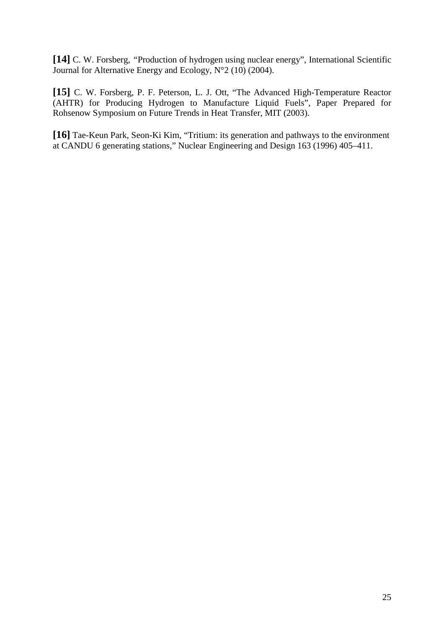**[14]** C. W. Forsberg, *"*Production of hydrogen using nuclear energy", International Scientific Journal for Alternative Energy and Ecology,  $N^{\circ}2$  (10) (2004).

**[15]** C. W. Forsberg, P. F. Peterson, L. J. Ott, "The Advanced High-Temperature Reactor (AHTR) for Producing Hydrogen to Manufacture Liquid Fuels", Paper Prepared for Rohsenow Symposium on Future Trends in Heat Transfer, MIT (2003).

**[16]** Tae-Keun Park, Seon-Ki Kim, "Tritium: its generation and pathways to the environment at CANDU 6 generating stations," Nuclear Engineering and Design 163 (1996) 405–411.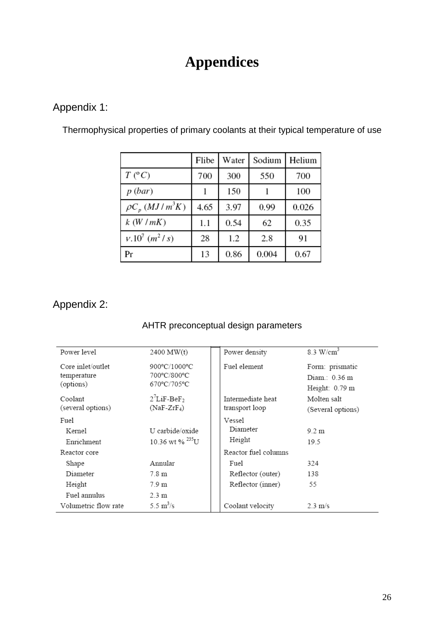# **Appendices**

# Appendix 1:

|                                   | Flibe | Water | Sodium | Helium |
|-----------------------------------|-------|-------|--------|--------|
| $T (^{\circ}C)$                   | 700   | 300   | 550    | 700    |
| p(bar)                            |       | 150   |        | 100    |
| $\rho C_p$ ( <i>MJ</i> / $m^3K$ ) | 4.65  | 3.97  | 0.99   | 0.026  |
| k(W/mK)                           | 1.1   | 0.54  | 62     | 0.35   |
| $v.10^7$ (m <sup>2</sup> /s)      | 28    | 1.2   | 2.8    | 91     |
| Pr                                | 13    | 0.86  | 0.004  | 0.67   |

Thermophysical properties of primary coolants at their typical temperature of use

# Appendix 2:

# AHTR preconceptual design parameters

| Power level                                   | 2400 MW(t)                                  | Power density                       | $8.3 \text{ W/cm}^3$                                          |
|-----------------------------------------------|---------------------------------------------|-------------------------------------|---------------------------------------------------------------|
| Core inlet/outlet<br>temperature<br>(options) | 900°C/1000°C<br>700°C/800°C<br>670°C/705°C  | Fuel element                        | Form: prismatic<br>Diam $\therefore$ 0.36 m<br>Height: 0.79 m |
| Coolant<br>(several options)                  | $2^7$ LiF-BeF <sub>2</sub><br>$(NaF-ZrF_4)$ | Intermediate heat<br>transport loop | Molten salt<br>(Several options)                              |
| Fuel<br>Kernel<br>Enrichment                  | U carbide/oxide<br>10.36 wt % $^{235}$ U    | Vessel<br>Diameter<br>Height        | $9.2 \text{ m}$<br>19.5                                       |
| Reactor core                                  |                                             | Reactor fuel columns                |                                                               |
| Shape                                         | Annular                                     | Fuel                                | 324                                                           |
| Diameter                                      | 7.8 m                                       | Reflector (outer)                   | 138                                                           |
| Height                                        | 7.9 m                                       | Reflector (inner)                   | 55                                                            |
| Fuel annulus                                  | $2.3 \text{ m}$                             |                                     |                                                               |
| Volumetric flow rate                          | 5.5 $\rm m^3/s$                             | Coolant velocity                    | $2.3 \text{ m/s}$                                             |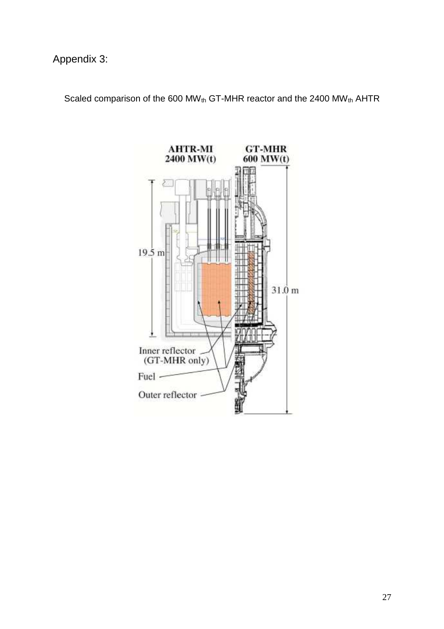Scaled comparison of the 600 MW<sub>th</sub> GT-MHR reactor and the 2400 MW<sub>th</sub> AHTR

![](_page_26_Figure_2.jpeg)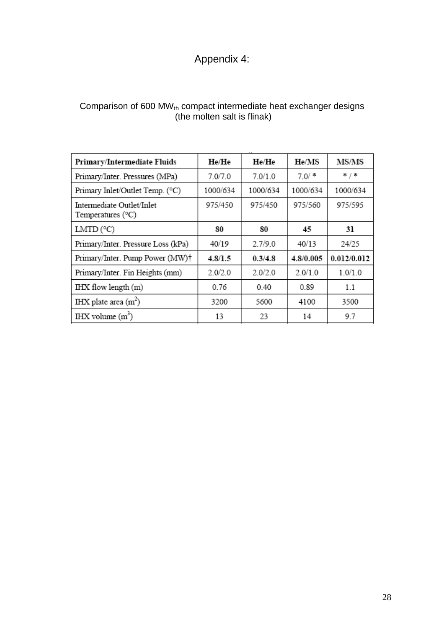# Appendix 4:

| Comparison of 600 MW $_{\text{th}}$ compact intermediate heat exchanger designs |
|---------------------------------------------------------------------------------|
| (the molten salt is flinak)                                                     |

| Primary/Intermediate Fluids                      | He/He    | He/He    | He/MS     | MS/MS       |
|--------------------------------------------------|----------|----------|-----------|-------------|
| Primary/Inter. Pressures (MPa)                   | 7.0/7.0  | 7.0/1.0  | $7.0/$ *  | */*         |
| Primary Inlet/Outlet Temp. (°C)                  | 1000/634 | 1000/634 | 1000/634  | 1000/634    |
| Intermediate Outlet/Inlet<br>Temperatures $(°C)$ | 975/450  | 975/450  | 975/560   | 975/595     |
| LMTD $(^{\circ}C)$                               | 80       | 80       | 45        | 31          |
| Primary/Inter. Pressure Loss (kPa)               | 40/19    | 2.7/9.0  | 40/13     | 24/25       |
| Primary/Inter. Pump Power (MW)†                  | 4.8/1.5  | 0.3/4.8  | 4.8/0.005 | 0.012/0.012 |
| Primary/Inter. Fin Heights (mm)                  | 2.0/2.0  | 2.0/2.0  | 2.0/1.0   | 1.0/1.0     |
| IHX flow length (m)                              | 0.76     | 0.40     | 0.89      | 1.1         |
| IHX plate area $(m2)$                            | 3200     | 5600     | 4100      | 3500        |
| IHX volume $(m^3)$                               | 13       | 23       | 14        | 9.7         |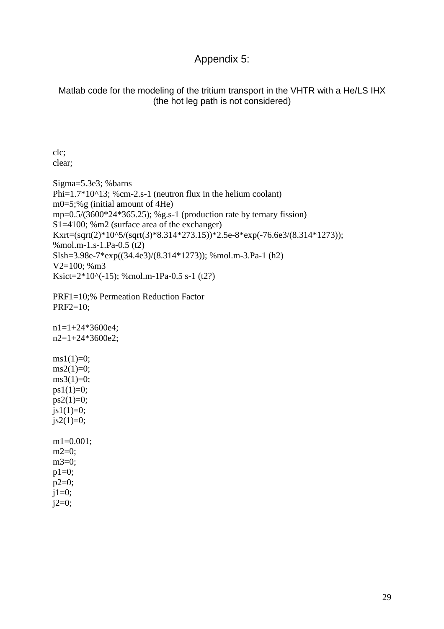## Appendix 5:

Matlab code for the modeling of the tritium transport in the VHTR with a He/LS IHX (the hot leg path is not considered)

clc; clear;

Sigma=5.3e3; %barns Phi= $1.7*10^{\text{A}}13$ ; %cm-2.s-1 (neutron flux in the helium coolant) m0=5;%g (initial amount of 4He) mp= $0.5/(3600*24*365.25)$ ; %g.s-1 (production rate by ternary fission) S1=4100; %m2 (surface area of the exchanger) Kxrt=(sqrt(2)\*10^5/(sqrt(3)\*8.314\*273.15))\*2.5e-8\*exp(-76.6e3/(8.314\*1273)); %mol.m-1.s-1.Pa-0.5 (t2) Slsh=3.98e-7\*exp((34.4e3)/(8.314\*1273)); %mol.m-3.Pa-1 (h2) V2=100; %m3 Ksict= $2*10^{\circ}(-15)$ ; %mol.m-1Pa-0.5 s-1 (t2?)

```
PRF1=10;% Permeation Reduction Factor 
PRF2=10;
```
n1=1+24\*3600e4; n2=1+24\*3600e2;  $ms1(1)=0;$  $ms2(1)=0;$  $ms3(1)=0;$  $ps1(1)=0$ ;  $ps2(1)=0;$  $jsl(1)=0;$  $js2(1)=0;$ m1=0.001;  $m2=0;$ m3=0;  $p1=0$ ;  $p2=0$ ;  $j1=0;$  $j2=0;$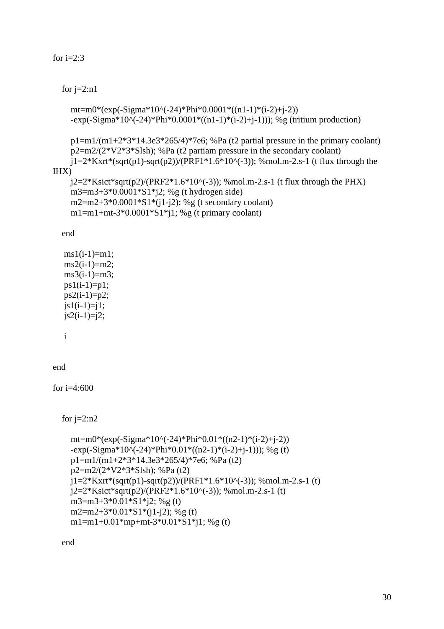### for  $i=2:3$

### for  $j=2:n1$

```
mt=m0*(exp(-Sigma*10^(-24)*Phi*0.0001*((n1-1)*(i-2)+j-2))
-exp(-Sigma*10^{\circ}(-24)*Phi*0.0001*((n1-1)*(i-2)+j-1))); %g (tritium production)
```

```
p1=m1/(m1+2*3*14.3e3*265/4)*7e6; %Pa (t2 partial pressure in the primary coolant)
    p2=m2/(2*V2*3*Slsh); %Pa (t2 partiam pressure in the secondary coolant)
    j1=2*Kxrt*(sqrt(p1)-sqrt(p2))/(PRF1*1.6*10*(-3)); %mol.m-2.s-1 (t flux through the
IHX)
```

```
j2=2*Ksict*sqrt(p2)/(PRF2*1.6*10^(-3)); %mol.m-2.s-1 (t flux through the PHX)
 m3=m3+3*0.0001*S1*j2; %g (t hydrogen side) 
m2=m2+3*0.0001*S1*((i1-i2); %g (t secondary coolant)
m1=m1+mt-3*0.0001*S1*j1; %g (t primary coolant)
```
end

```
ms1(i-1)=m1;ms2(i-1)=m2;
ms3(i-1)=m3:
ps1(i-1)=p1;ps2(i-1)=p2;js1(i-1)=j1;js2(i-1)=j2;
```
i

end

for  $i=4:600$ 

for  $j=2:n2$ 

```
mt=m0*(exp(-Sigma*10^(-24)*Phi*0.01*((n2-1)*(i-2)+j-2))
-exp(-Sigma*10^(-24)*Phi*0.01*((n2-1)*(i-2)+i-1))); %g (t)
 p1=m1/(m1+2*3*14.3e3*265/4)*7e6; %Pa (t2) 
 p2=m2/(2*V2*3*Slsh); %Pa (t2) 
j1=2*Kxrt*(sqrt(p1)-sqrt(p2))/(PRF1*1.6*10^(-3)); %mol.m-2.s-1 (t)j2=2*Ksict*sqrt(p2)/(PRF2*1.6*10^(-3)); %mol.m-2.s-1 (t)
 m3=m3+3*0.01*S1*j2; %g (t) 
m2=m2+3*0.01*S1*(j1-j2); %g(t)
m1=m1+0.01*mp+mt-3*0.01*S1*j1; %g(t)
```
end